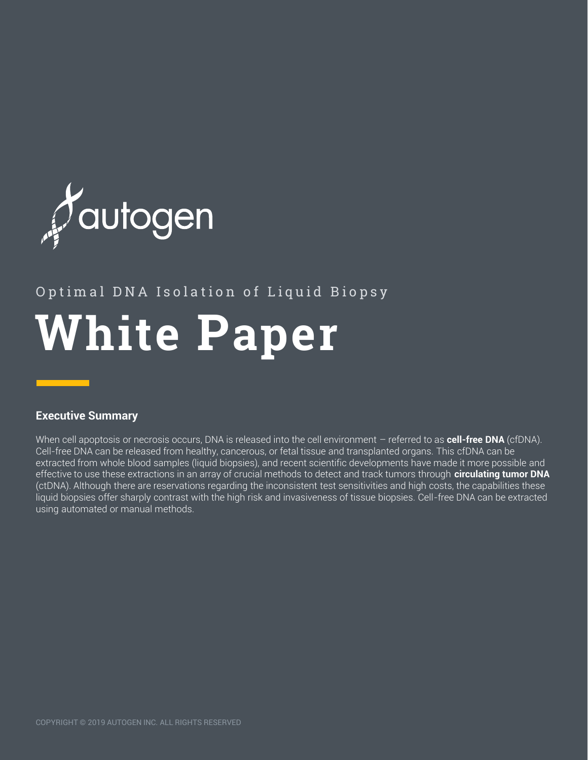

# **White Paper** Optimal DNA Isolation of Liquid Biopsy

## **Executive Summary**

When cell apoptosis or necrosis occurs, DNA is released into the cell environment – referred to as **cell-free DNA** (cfDNA). Cell-free DNA can be released from healthy, cancerous, or fetal tissue and transplanted organs. This cfDNA can be extracted from whole blood samples (liquid biopsies), and recent scientific developments have made it more possible and effective to use these extractions in an array of crucial methods to detect and track tumors through **circulating tumor DNA** (ctDNA). Although there are reservations regarding the inconsistent test sensitivities and high costs, the capabilities these liquid biopsies offer sharply contrast with the high risk and invasiveness of tissue biopsies. Cell-free DNA can be extracted using automated or manual methods.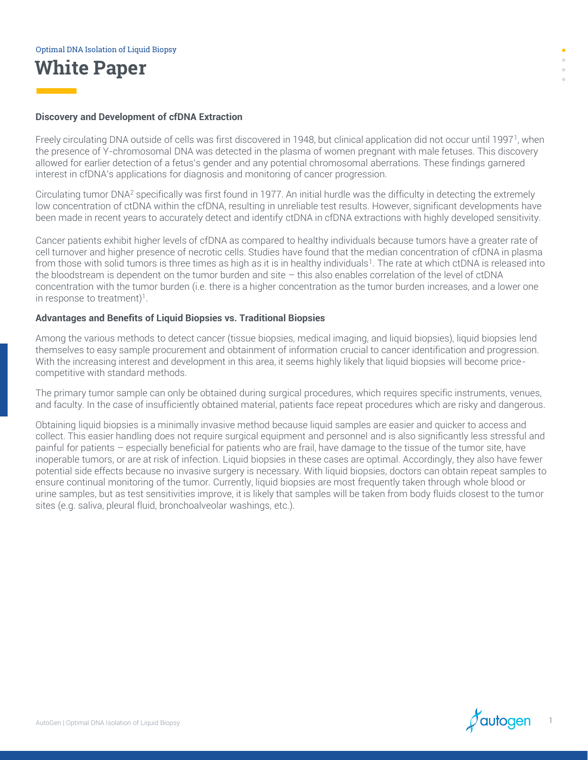#### **Discovery and Development of cfDNA Extraction**

Freely circulating DNA outside of cells was first discovered in 1948, but clinical application did not occur until 1997<sup>1</sup> , when the presence of Y-chromosomal DNA was detected in the plasma of women pregnant with male fetuses. This discovery allowed for earlier detection of a fetus's gender and any potential chromosomal aberrations. These findings garnered interest in cfDNA's applications for diagnosis and monitoring of cancer progression.

Circulating tumor DNA<sup>2</sup> specifically was first found in 1977. An initial hurdle was the difficulty in detecting the extremely low concentration of ctDNA within the cfDNA, resulting in unreliable test results. However, significant developments have been made in recent years to accurately detect and identify ctDNA in cfDNA extractions with highly developed sensitivity.

Cancer patients exhibit higher levels of cfDNA as compared to healthy individuals because tumors have a greater rate of cell turnover and higher presence of necrotic cells. Studies have found that the median concentration of cfDNA in plasma from those with solid tumors is three times as high as it is in healthy individuals<sup>1</sup>. The rate at which ctDNA is released into the bloodstream is dependent on the tumor burden and site – this also enables correlation of the level of ctDNA concentration with the tumor burden (i.e. there is a higher concentration as the tumor burden increases, and a lower one in response to treatment)<sup>1</sup>.

#### **Advantages and Benefits of Liquid Biopsies vs. Traditional Biopsies**

Among the various methods to detect cancer (tissue biopsies, medical imaging, and liquid biopsies), liquid biopsies lend themselves to easy sample procurement and obtainment of information crucial to cancer identification and progression. With the increasing interest and development in this area, it seems highly likely that liquid biopsies will become pricecompetitive with standard methods.

The primary tumor sample can only be obtained during surgical procedures, which requires specific instruments, venues, and faculty. In the case of insufficiently obtained material, patients face repeat procedures which are risky and dangerous.

Obtaining liquid biopsies is a minimally invasive method because liquid samples are easier and quicker to access and collect. This easier handling does not require surgical equipment and personnel and is also significantly less stressful and painful for patients – especially beneficial for patients who are frail, have damage to the tissue of the tumor site, have inoperable tumors, or are at risk of infection. Liquid biopsies in these cases are optimal. Accordingly, they also have fewer potential side effects because no invasive surgery is necessary. With liquid biopsies, doctors can obtain repeat samples to ensure continual monitoring of the tumor. Currently, liquid biopsies are most frequently taken through whole blood or urine samples, but as test sensitivities improve, it is likely that samples will be taken from body fluids closest to the tumor sites (e.g. saliva, pleural fluid, bronchoalveolar washings, etc.).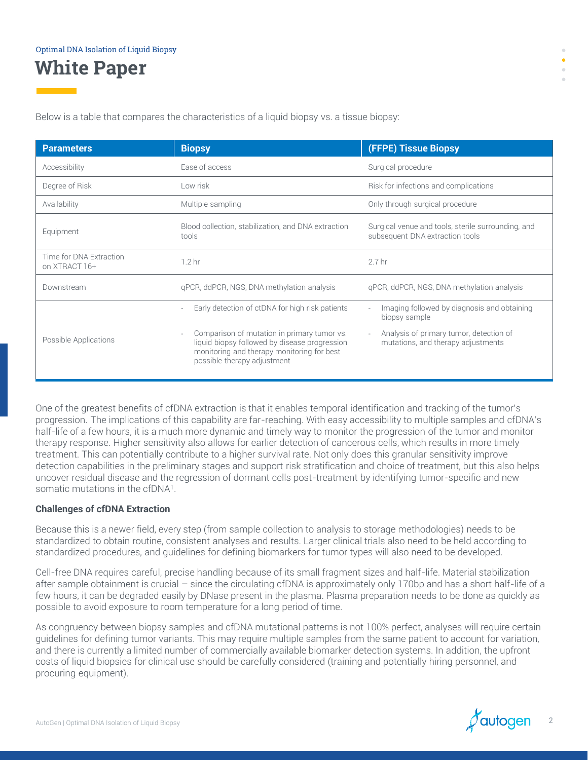Below is a table that compares the characteristics of a liquid biopsy vs. a tissue biopsy:

| <b>Parameters</b>                        | <b>Biopsy</b>                                                                                                                                                             | <b>(FFPE) Tissue Biopsy</b>                                                           |  |  |  |
|------------------------------------------|---------------------------------------------------------------------------------------------------------------------------------------------------------------------------|---------------------------------------------------------------------------------------|--|--|--|
| Accessibility                            | Ease of access                                                                                                                                                            | Surgical procedure                                                                    |  |  |  |
| Degree of Risk                           | Low risk                                                                                                                                                                  | Risk for infections and complications                                                 |  |  |  |
| Availability                             | Multiple sampling                                                                                                                                                         | Only through surgical procedure                                                       |  |  |  |
| Equipment                                | Blood collection, stabilization, and DNA extraction<br>tools                                                                                                              | Surgical venue and tools, sterile surrounding, and<br>subsequent DNA extraction tools |  |  |  |
| Time for DNA Extraction<br>on XTRACT 16+ | 1.2 <sub>hr</sub>                                                                                                                                                         | 2.7 <sub>hr</sub>                                                                     |  |  |  |
| Downstream                               | gPCR, ddPCR, NGS, DNA methylation analysis                                                                                                                                | gPCR, ddPCR, NGS, DNA methylation analysis                                            |  |  |  |
| Possible Applications                    | Early detection of ctDNA for high risk patients                                                                                                                           | Imaging followed by diagnosis and obtaining<br>biopsy sample                          |  |  |  |
|                                          | Comparison of mutation in primary tumor vs.<br>liquid biopsy followed by disease progression<br>monitoring and therapy monitoring for best<br>possible therapy adjustment | Analysis of primary tumor, detection of<br>mutations, and therapy adjustments         |  |  |  |

One of the greatest benefits of cfDNA extraction is that it enables temporal identification and tracking of the tumor's progression. The implications of this capability are far-reaching. With easy accessibility to multiple samples and cfDNA's half-life of a few hours, it is a much more dynamic and timely way to monitor the progression of the tumor and monitor therapy response. Higher sensitivity also allows for earlier detection of cancerous cells, which results in more timely treatment. This can potentially contribute to a higher survival rate. Not only does this granular sensitivity improve detection capabilities in the preliminary stages and support risk stratification and choice of treatment, but this also helps uncover residual disease and the regression of dormant cells post-treatment by identifying tumor-specific and new somatic mutations in the cfDNA<sup>1</sup>.

#### **Challenges of cfDNA Extraction**

Because this is a newer field, every step (from sample collection to analysis to storage methodologies) needs to be standardized to obtain routine, consistent analyses and results. Larger clinical trials also need to be held according to standardized procedures, and guidelines for defining biomarkers for tumor types will also need to be developed.

Cell-free DNA requires careful, precise handling because of its small fragment sizes and half-life. Material stabilization after sample obtainment is crucial – since the circulating cfDNA is approximately only 170bp and has a short half-life of a few hours, it can be degraded easily by DNase present in the plasma. Plasma preparation needs to be done as quickly as possible to avoid exposure to room temperature for a long period of time.

As congruency between biopsy samples and cfDNA mutational patterns is not 100% perfect, analyses will require certain guidelines for defining tumor variants. This may require multiple samples from the same patient to account for variation, and there is currently a limited number of commercially available biomarker detection systems. In addition, the upfront costs of liquid biopsies for clinical use should be carefully considered (training and potentially hiring personnel, and procuring equipment).

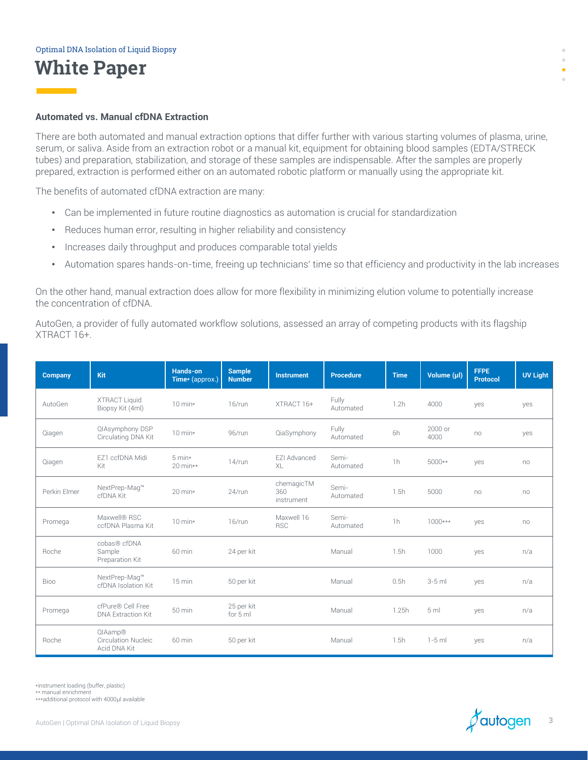#### **Automated vs. Manual cfDNA Extraction**

There are both automated and manual extraction options that differ further with various starting volumes of plasma, urine, serum, or saliva. Aside from an extraction robot or a manual kit, equipment for obtaining blood samples (EDTA/STRECK tubes) and preparation, stabilization, and storage of these samples are indispensable. After the samples are properly prepared, extraction is performed either on an automated robotic platform or manually using the appropriate kit.

The benefits of automated cfDNA extraction are many:

- Can be implemented in future routine diagnostics as automation is crucial for standardization
- Reduces human error, resulting in higher reliability and consistency
- Increases daily throughput and produces comparable total yields
- Automation spares hands-on-time, freeing up technicians' time so that efficiency and productivity in the lab increases

On the other hand, manual extraction does allow for more flexibility in minimizing elution volume to potentially increase the concentration of cfDNA.

AutoGen, a provider of fully automated workflow solutions, assessed an array of competing products with its flagship XTRACT 16+.

| <b>Company</b> | Kit                                                   | Hands-on<br>Time* (approx.)   | <b>Sample</b><br><b>Number</b> | <b>Instrument</b>                      | <b>Procedure</b>   | <b>Time</b>    | Volume (µl)     | <b>FFPE</b><br><b>Protocol</b> | <b>UV Light</b> |
|----------------|-------------------------------------------------------|-------------------------------|--------------------------------|----------------------------------------|--------------------|----------------|-----------------|--------------------------------|-----------------|
| AutoGen        | <b>XTRACT Liquid</b><br>Biopsy Kit (4ml)              | $10 \text{ min}$              | $16$ /run                      | XTRACT 16+                             | Fully<br>Automated | 1.2h           | 4000            | yes                            | yes             |
| Qiagen         | QIAsymphony DSP<br>Circulating DNA Kit                | $10 \text{ min}$              | 96/run                         | QiaSymphony                            | Fully<br>Automated | 6h             | 2000 or<br>4000 | no                             | yes             |
| Qiagen         | F71 ccfDNA Midi<br>Kit                                | $5 \text{ min}$<br>$20$ min** | $14$ /run                      | F7I Advanced<br>XL                     | Semi-<br>Automated | 1 <sub>h</sub> | 5000**          | yes                            | no              |
| Perkin Elmer   | NextPrep-Mag™<br>cfDNA Kit                            | $20 \text{ min}$              | 24/run                         | chemagicTM<br>360<br><i>instrument</i> | Semi-<br>Automated | 1.5h           | 5000            | no                             | no              |
| Promega        | Maxwell® RSC<br>ccfDNA Plasma Kit                     | $10 \text{ min}$ *            | $16$ /run                      | Maxwell 16<br><b>RSC</b>               | Semi-<br>Automated | 1h             | $1000***$       | yes                            | no              |
| Roche          | cobas® cfDNA<br>Sample<br>Preparation Kit             | 60 min                        | 24 per kit                     |                                        | Manual             | 1.5h           | 1000            | yes                            | n/a             |
| Bioo           | NextPrep-Maq™<br>cfDNA Isolation Kit                  | 15 min                        | 50 per kit                     |                                        | Manual             | 0.5h           | $3-5$ ml        | yes                            | n/a             |
| Promega        | cfPure® Cell Free<br><b>DNA Extraction Kit</b>        | 50 min                        | 25 per kit<br>for 5 ml         |                                        | Manual             | 1.25h          | 5 <sub>m</sub>  | yes                            | n/a             |
| <b>Roche</b>   | QIAamp®<br><b>Circulation Nucleic</b><br>Acid DNA Kit | 60 min                        | 50 per kit                     |                                        | Manual             | 1.5h           | $1-5$ ml        | yes                            | n/a             |

\*instrument loading (buffer, plastic)

\*\* manual enrichment

\*\*\*additional protocol with 4000μl available

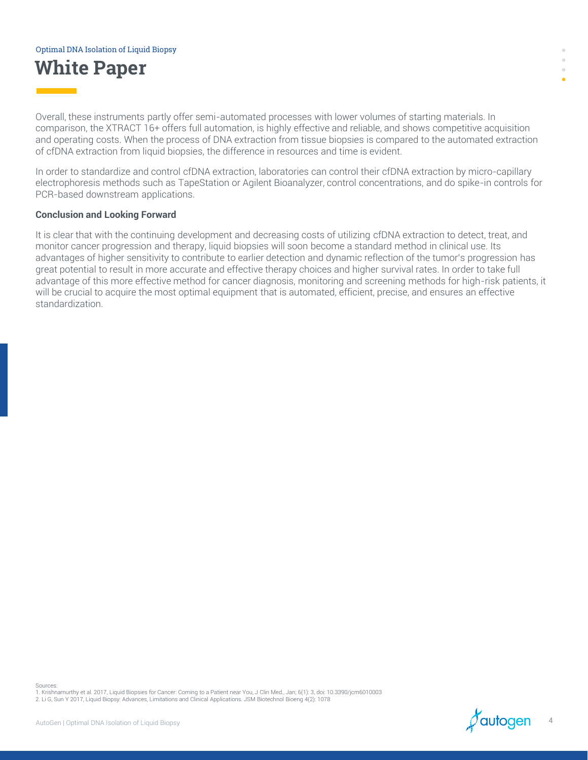# **White Paper** Optimal DNA Isolation of Liquid Biopsy

Overall, these instruments partly offer semi-automated processes with lower volumes of starting materials. In comparison, the XTRACT 16+ offers full automation, is highly effective and reliable, and shows competitive acquisition and operating costs. When the process of DNA extraction from tissue biopsies is compared to the automated extraction of cfDNA extraction from liquid biopsies, the difference in resources and time is evident.

In order to standardize and control cfDNA extraction, laboratories can control their cfDNA extraction by micro-capillary electrophoresis methods such as TapeStation or Agilent Bioanalyzer, control concentrations, and do spike-in controls for PCR-based downstream applications.

#### **Conclusion and Looking Forward**

It is clear that with the continuing development and decreasing costs of utilizing cfDNA extraction to detect, treat, and monitor cancer progression and therapy, liquid biopsies will soon become a standard method in clinical use. Its advantages of higher sensitivity to contribute to earlier detection and dynamic reflection of the tumor's progression has great potential to result in more accurate and effective therapy choices and higher survival rates. In order to take full advantage of this more effective method for cancer diagnosis, monitoring and screening methods for high-risk patients, it will be crucial to acquire the most optimal equipment that is automated, efficient, precise, and ensures an effective standardization.